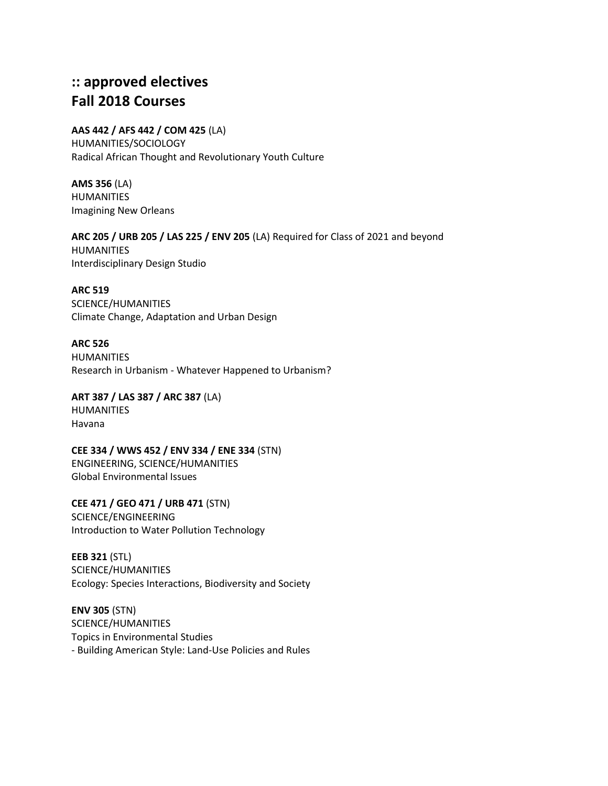# **:: approved electives Fall 2018 Courses**

#### **AAS 442 / AFS 442 / COM 425** (LA)

HUMANITIES/SOCIOLOGY Radical African Thought and Revolutionary Youth Culture

**AMS 356** (LA) HUMANITIES Imagining New Orleans

# **ARC 205 / URB 205 / LAS 225 / ENV 205** (LA) Required for Class of 2021 and beyond

HUMANITIES Interdisciplinary Design Studio

### **ARC 519**

SCIENCE/HUMANITIES Climate Change, Adaptation and Urban Design

#### **ARC 526**

**HUMANITIES** Research in Urbanism - Whatever Happened to Urbanism?

### **ART 387 / LAS 387 / ARC 387** (LA) HUMANITIES Havana

# **CEE 334 / WWS 452 / ENV 334 / ENE 334** (STN) ENGINEERING, SCIENCE/HUMANITIES Global Environmental Issues

**CEE 471 / GEO 471 / URB 471** (STN) SCIENCE/ENGINEERING Introduction to Water Pollution Technology

**EEB 321** (STL) SCIENCE/HUMANITIES Ecology: Species Interactions, Biodiversity and Society

**ENV 305** (STN) SCIENCE/HUMANITIES Topics in Environmental Studies - Building American Style: Land-Use Policies and Rules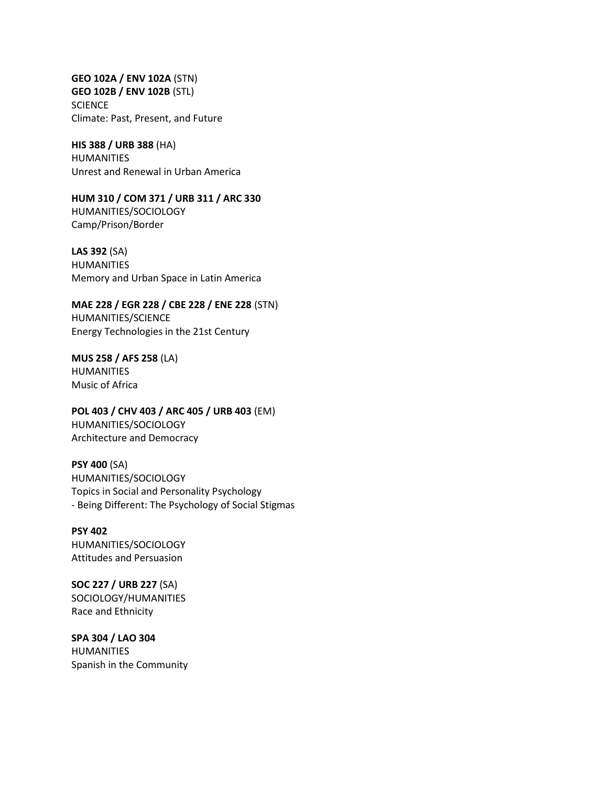**GEO 102A / ENV 102A** (STN) **GEO 102B / ENV 102B** (STL) **SCIENCE** Climate: Past, Present, and Future

**HIS 388 / URB 388** (HA) HUMANITIES Unrest and Renewal in Urban America

**HUM 310 / COM 371 / URB 311 / ARC 330**  HUMANITIES/SOCIOLOGY Camp/Prison/Border

**LAS 392** (SA) HUMANITIES Memory and Urban Space in Latin America

**MAE 228 / EGR 228 / CBE 228 / ENE 228** (STN) HUMANITIES/SCIENCE Energy Technologies in the 21st Century

**MUS 258 / AFS 258** (LA) HUMANITIES Music of Africa

**POL 403 / CHV 403 / ARC 405 / URB 403** (EM) HUMANITIES/SOCIOLOGY Architecture and Democracy

**PSY 400** (SA) HUMANITIES/SOCIOLOGY Topics in Social and Personality Psychology - Being Different: The Psychology of Social Stigmas

**PSY 402** HUMANITIES/SOCIOLOGY Attitudes and Persuasion

**SOC 227 / URB 227** (SA) SOCIOLOGY/HUMANITIES Race and Ethnicity

**SPA 304 / LAO 304** HUMANITIES Spanish in the Community